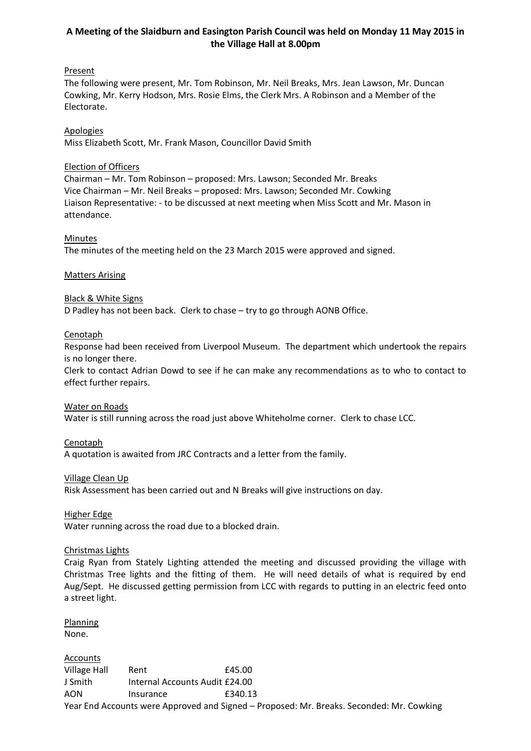# **A Meeting of the Slaidburn and Easington Parish Council was held on Monday 11 May 2015 in the Village Hall at 8.00pm**

## **Present**

The following were present, Mr. Tom Robinson, Mr. Neil Breaks, Mrs. Jean Lawson, Mr. Duncan Cowking, Mr. Kerry Hodson, Mrs. Rosie Elms, the Clerk Mrs. A Robinson and a Member of the Electorate.

Apologies Miss Elizabeth Scott, Mr. Frank Mason, Councillor David Smith

## Election of Officers

Chairman – Mr. Tom Robinson – proposed: Mrs. Lawson; Seconded Mr. Breaks Vice Chairman – Mr. Neil Breaks – proposed: Mrs. Lawson; Seconded Mr. Cowking Liaison Representative: - to be discussed at next meeting when Miss Scott and Mr. Mason in attendance.

**Minutes** 

The minutes of the meeting held on the 23 March 2015 were approved and signed.

# Matters Arising

## Black & White Signs

D Padley has not been back. Clerk to chase – try to go through AONB Office.

## **Cenotaph**

Response had been received from Liverpool Museum. The department which undertook the repairs is no longer there.

Clerk to contact Adrian Dowd to see if he can make any recommendations as to who to contact to effect further repairs.

## Water on Roads

Water is still running across the road just above Whiteholme corner. Clerk to chase LCC.

Cenotaph

A quotation is awaited from JRC Contracts and a letter from the family.

Village Clean Up

Risk Assessment has been carried out and N Breaks will give instructions on day.

Higher Edge

Water running across the road due to a blocked drain.

## Christmas Lights

Craig Ryan from Stately Lighting attended the meeting and discussed providing the village with Christmas Tree lights and the fitting of them. He will need details of what is required by end Aug/Sept. He discussed getting permission from LCC with regards to putting in an electric feed onto a street light.

Planning None.

**Accounts** Village Hall Rent E45.00 J Smith Internal Accounts Audit £24.00 AON Insurance £340.13 Year End Accounts were Approved and Signed – Proposed: Mr. Breaks. Seconded: Mr. Cowking